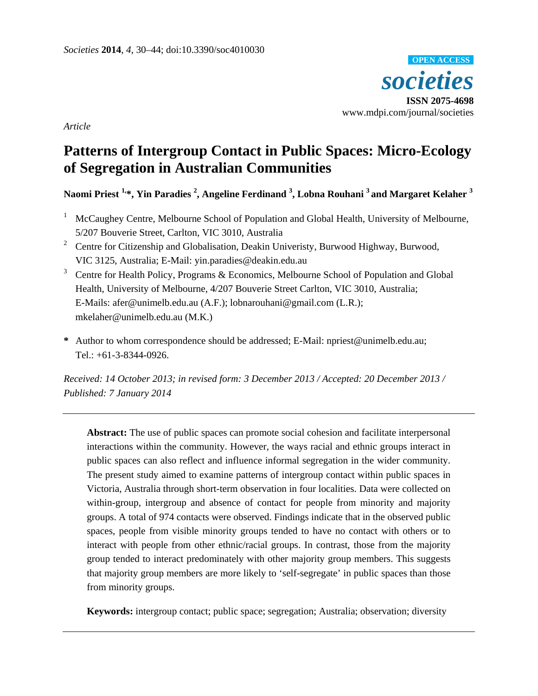

*Article* 

# **Patterns of Intergroup Contact in Public Spaces: Micro-Ecology of Segregation in Australian Communities**

**Naomi Priest 1,\*, Yin Paradies 2 , Angeline Ferdinand 3 , Lobna Rouhani 3 and Margaret Kelaher 3**

- 1 McCaughey Centre, Melbourne School of Population and Global Health, University of Melbourne, 5/207 Bouverie Street, Carlton, VIC 3010, Australia
- <sup>2</sup> Centre for Citizenship and Globalisation, Deakin Univeristy, Burwood Highway, Burwood, VIC 3125, Australia; E-Mail: yin.paradies@deakin.edu.au
- <sup>3</sup> Centre for Health Policy, Programs & Economics, Melbourne School of Population and Global Health, University of Melbourne, 4/207 Bouverie Street Carlton, VIC 3010, Australia; E-Mails: afer@unimelb.edu.au (A.F.); lobnarouhani@gmail.com (L.R.); mkelaher@unimelb.edu.au (M.K.)
- **\*** Author to whom correspondence should be addressed; E-Mail: npriest@unimelb.edu.au; Tel.: +61-3-8344-0926.

*Received: 14 October 2013; in revised form: 3 December 2013 / Accepted: 20 December 2013 / Published: 7 January 2014* 

**Abstract:** The use of public spaces can promote social cohesion and facilitate interpersonal interactions within the community. However, the ways racial and ethnic groups interact in public spaces can also reflect and influence informal segregation in the wider community. The present study aimed to examine patterns of intergroup contact within public spaces in Victoria, Australia through short-term observation in four localities. Data were collected on within-group, intergroup and absence of contact for people from minority and majority groups. A total of 974 contacts were observed. Findings indicate that in the observed public spaces, people from visible minority groups tended to have no contact with others or to interact with people from other ethnic/racial groups. In contrast, those from the majority group tended to interact predominately with other majority group members. This suggests that majority group members are more likely to 'self-segregate' in public spaces than those from minority groups.

**Keywords:** intergroup contact; public space; segregation; Australia; observation; diversity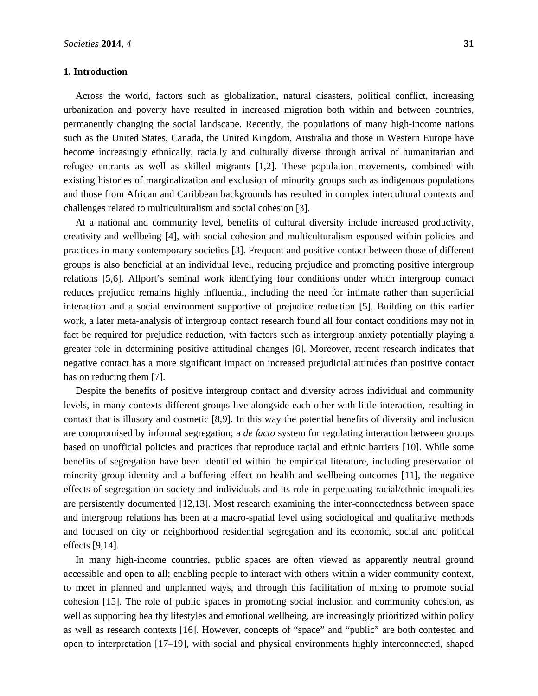## **1. Introduction**

Across the world, factors such as globalization, natural disasters, political conflict, increasing urbanization and poverty have resulted in increased migration both within and between countries, permanently changing the social landscape. Recently, the populations of many high-income nations such as the United States, Canada, the United Kingdom, Australia and those in Western Europe have become increasingly ethnically, racially and culturally diverse through arrival of humanitarian and refugee entrants as well as skilled migrants [1,2]. These population movements, combined with existing histories of marginalization and exclusion of minority groups such as indigenous populations and those from African and Caribbean backgrounds has resulted in complex intercultural contexts and challenges related to multiculturalism and social cohesion [3].

At a national and community level, benefits of cultural diversity include increased productivity, creativity and wellbeing [4], with social cohesion and multiculturalism espoused within policies and practices in many contemporary societies [3]. Frequent and positive contact between those of different groups is also beneficial at an individual level, reducing prejudice and promoting positive intergroup relations [5,6]. Allport's seminal work identifying four conditions under which intergroup contact reduces prejudice remains highly influential, including the need for intimate rather than superficial interaction and a social environment supportive of prejudice reduction [5]. Building on this earlier work, a later meta-analysis of intergroup contact research found all four contact conditions may not in fact be required for prejudice reduction, with factors such as intergroup anxiety potentially playing a greater role in determining positive attitudinal changes [6]. Moreover, recent research indicates that negative contact has a more significant impact on increased prejudicial attitudes than positive contact has on reducing them [7].

Despite the benefits of positive intergroup contact and diversity across individual and community levels, in many contexts different groups live alongside each other with little interaction, resulting in contact that is illusory and cosmetic [8,9]. In this way the potential benefits of diversity and inclusion are compromised by informal segregation; a *de facto* system for regulating interaction between groups based on unofficial policies and practices that reproduce racial and ethnic barriers [10]. While some benefits of segregation have been identified within the empirical literature, including preservation of minority group identity and a buffering effect on health and wellbeing outcomes [11], the negative effects of segregation on society and individuals and its role in perpetuating racial/ethnic inequalities are persistently documented [12,13]. Most research examining the inter-connectedness between space and intergroup relations has been at a macro-spatial level using sociological and qualitative methods and focused on city or neighborhood residential segregation and its economic, social and political effects [9,14].

In many high-income countries, public spaces are often viewed as apparently neutral ground accessible and open to all; enabling people to interact with others within a wider community context, to meet in planned and unplanned ways, and through this facilitation of mixing to promote social cohesion [15]. The role of public spaces in promoting social inclusion and community cohesion, as well as supporting healthy lifestyles and emotional wellbeing, are increasingly prioritized within policy as well as research contexts [16]. However, concepts of "space" and "public" are both contested and open to interpretation [17–19], with social and physical environments highly interconnected, shaped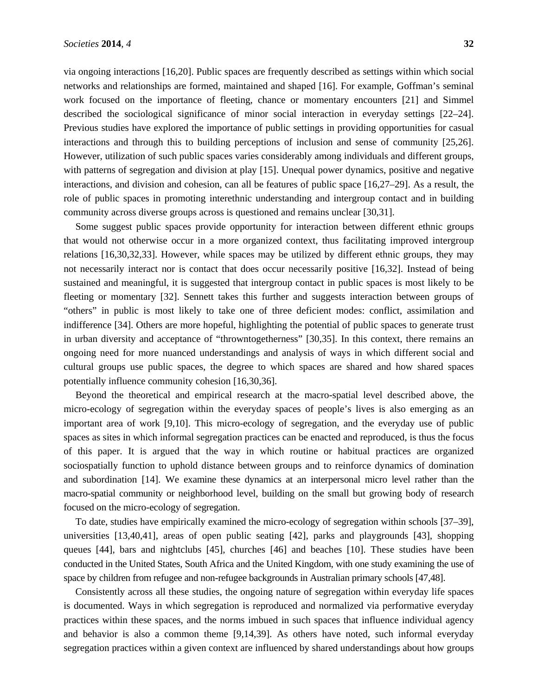via ongoing interactions [16,20]. Public spaces are frequently described as settings within which social networks and relationships are formed, maintained and shaped [16]. For example, Goffman's seminal work focused on the importance of fleeting, chance or momentary encounters [21] and Simmel described the sociological significance of minor social interaction in everyday settings [22–24]. Previous studies have explored the importance of public settings in providing opportunities for casual interactions and through this to building perceptions of inclusion and sense of community [25,26]. However, utilization of such public spaces varies considerably among individuals and different groups, with patterns of segregation and division at play [15]. Unequal power dynamics, positive and negative interactions, and division and cohesion, can all be features of public space [16,27–29]. As a result, the role of public spaces in promoting interethnic understanding and intergroup contact and in building community across diverse groups across is questioned and remains unclear [30,31].

Some suggest public spaces provide opportunity for interaction between different ethnic groups that would not otherwise occur in a more organized context, thus facilitating improved intergroup relations [16,30,32,33]. However, while spaces may be utilized by different ethnic groups, they may not necessarily interact nor is contact that does occur necessarily positive [16,32]. Instead of being sustained and meaningful, it is suggested that intergroup contact in public spaces is most likely to be fleeting or momentary [32]. Sennett takes this further and suggests interaction between groups of "others" in public is most likely to take one of three deficient modes: conflict, assimilation and indifference [34]. Others are more hopeful, highlighting the potential of public spaces to generate trust in urban diversity and acceptance of "throwntogetherness" [30,35]. In this context, there remains an ongoing need for more nuanced understandings and analysis of ways in which different social and cultural groups use public spaces, the degree to which spaces are shared and how shared spaces potentially influence community cohesion [16,30,36].

Beyond the theoretical and empirical research at the macro-spatial level described above, the micro-ecology of segregation within the everyday spaces of people's lives is also emerging as an important area of work [9,10]. This micro-ecology of segregation, and the everyday use of public spaces as sites in which informal segregation practices can be enacted and reproduced, is thus the focus of this paper. It is argued that the way in which routine or habitual practices are organized sociospatially function to uphold distance between groups and to reinforce dynamics of domination and subordination [14]. We examine these dynamics at an interpersonal micro level rather than the macro-spatial community or neighborhood level, building on the small but growing body of research focused on the micro-ecology of segregation.

To date, studies have empirically examined the micro-ecology of segregation within schools [37–39], universities [13,40,41], areas of open public seating [42], parks and playgrounds [43], shopping queues [44], bars and nightclubs [45], churches [46] and beaches [10]. These studies have been conducted in the United States, South Africa and the United Kingdom, with one study examining the use of space by children from refugee and non-refugee backgrounds in Australian primary schools [47,48].

Consistently across all these studies, the ongoing nature of segregation within everyday life spaces is documented. Ways in which segregation is reproduced and normalized via performative everyday practices within these spaces, and the norms imbued in such spaces that influence individual agency and behavior is also a common theme [9,14,39]. As others have noted, such informal everyday segregation practices within a given context are influenced by shared understandings about how groups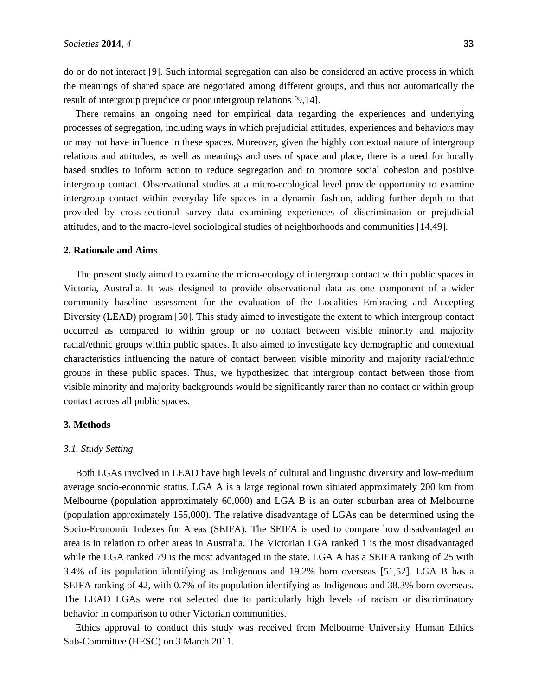do or do not interact [9]. Such informal segregation can also be considered an active process in which the meanings of shared space are negotiated among different groups, and thus not automatically the result of intergroup prejudice or poor intergroup relations [9,14].

There remains an ongoing need for empirical data regarding the experiences and underlying processes of segregation, including ways in which prejudicial attitudes, experiences and behaviors may or may not have influence in these spaces. Moreover, given the highly contextual nature of intergroup relations and attitudes, as well as meanings and uses of space and place, there is a need for locally based studies to inform action to reduce segregation and to promote social cohesion and positive intergroup contact. Observational studies at a micro-ecological level provide opportunity to examine intergroup contact within everyday life spaces in a dynamic fashion, adding further depth to that provided by cross-sectional survey data examining experiences of discrimination or prejudicial attitudes, and to the macro-level sociological studies of neighborhoods and communities [14,49].

#### **2. Rationale and Aims**

The present study aimed to examine the micro-ecology of intergroup contact within public spaces in Victoria, Australia. It was designed to provide observational data as one component of a wider community baseline assessment for the evaluation of the Localities Embracing and Accepting Diversity (LEAD) program [50]. This study aimed to investigate the extent to which intergroup contact occurred as compared to within group or no contact between visible minority and majority racial/ethnic groups within public spaces. It also aimed to investigate key demographic and contextual characteristics influencing the nature of contact between visible minority and majority racial/ethnic groups in these public spaces. Thus, we hypothesized that intergroup contact between those from visible minority and majority backgrounds would be significantly rarer than no contact or within group contact across all public spaces.

# **3. Methods**

## *3.1. Study Setting*

Both LGAs involved in LEAD have high levels of cultural and linguistic diversity and low-medium average socio-economic status. LGA A is a large regional town situated approximately 200 km from Melbourne (population approximately 60,000) and LGA B is an outer suburban area of Melbourne (population approximately 155,000). The relative disadvantage of LGAs can be determined using the Socio-Economic Indexes for Areas (SEIFA). The SEIFA is used to compare how disadvantaged an area is in relation to other areas in Australia. The Victorian LGA ranked 1 is the most disadvantaged while the LGA ranked 79 is the most advantaged in the state. LGA A has a SEIFA ranking of 25 with 3.4% of its population identifying as Indigenous and 19.2% born overseas [51,52]. LGA B has a SEIFA ranking of 42, with 0.7% of its population identifying as Indigenous and 38.3% born overseas. The LEAD LGAs were not selected due to particularly high levels of racism or discriminatory behavior in comparison to other Victorian communities.

Ethics approval to conduct this study was received from Melbourne University Human Ethics Sub-Committee (HESC) on 3 March 2011.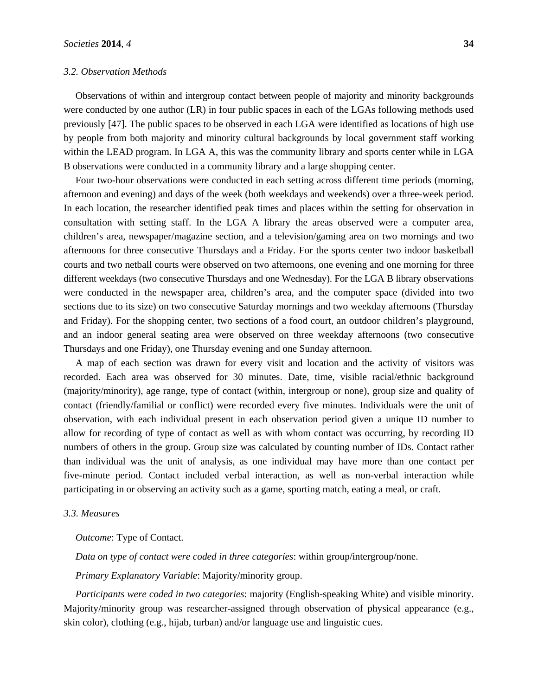#### *3.2. Observation Methods*

Observations of within and intergroup contact between people of majority and minority backgrounds were conducted by one author (LR) in four public spaces in each of the LGAs following methods used previously [47]. The public spaces to be observed in each LGA were identified as locations of high use by people from both majority and minority cultural backgrounds by local government staff working within the LEAD program. In LGA A, this was the community library and sports center while in LGA B observations were conducted in a community library and a large shopping center.

Four two-hour observations were conducted in each setting across different time periods (morning, afternoon and evening) and days of the week (both weekdays and weekends) over a three-week period. In each location, the researcher identified peak times and places within the setting for observation in consultation with setting staff. In the LGA A library the areas observed were a computer area, children's area, newspaper/magazine section, and a television/gaming area on two mornings and two afternoons for three consecutive Thursdays and a Friday. For the sports center two indoor basketball courts and two netball courts were observed on two afternoons, one evening and one morning for three different weekdays (two consecutive Thursdays and one Wednesday). For the LGA B library observations were conducted in the newspaper area, children's area, and the computer space (divided into two sections due to its size) on two consecutive Saturday mornings and two weekday afternoons (Thursday and Friday). For the shopping center, two sections of a food court, an outdoor children's playground, and an indoor general seating area were observed on three weekday afternoons (two consecutive Thursdays and one Friday), one Thursday evening and one Sunday afternoon.

A map of each section was drawn for every visit and location and the activity of visitors was recorded. Each area was observed for 30 minutes. Date, time, visible racial/ethnic background (majority/minority), age range, type of contact (within, intergroup or none), group size and quality of contact (friendly/familial or conflict) were recorded every five minutes. Individuals were the unit of observation, with each individual present in each observation period given a unique ID number to allow for recording of type of contact as well as with whom contact was occurring, by recording ID numbers of others in the group. Group size was calculated by counting number of IDs. Contact rather than individual was the unit of analysis, as one individual may have more than one contact per five-minute period. Contact included verbal interaction, as well as non-verbal interaction while participating in or observing an activity such as a game, sporting match, eating a meal, or craft.

#### *3.3. Measures*

*Outcome*: Type of Contact.

*Data on type of contact were coded in three categories*: within group/intergroup/none.

*Primary Explanatory Variable*: Majority/minority group.

*Participants were coded in two categories*: majority (English-speaking White) and visible minority. Majority/minority group was researcher-assigned through observation of physical appearance (e.g., skin color), clothing (e.g., hijab, turban) and/or language use and linguistic cues.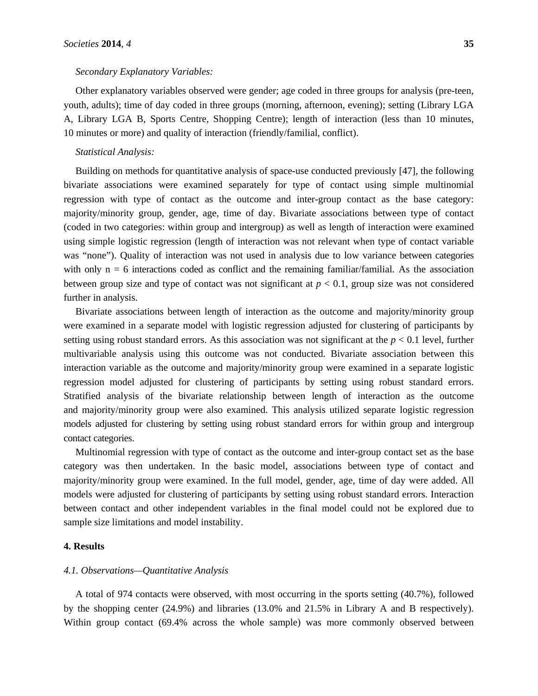#### *Secondary Explanatory Variables:*

Other explanatory variables observed were gender; age coded in three groups for analysis (pre-teen, youth, adults); time of day coded in three groups (morning, afternoon, evening); setting (Library LGA A, Library LGA B, Sports Centre, Shopping Centre); length of interaction (less than 10 minutes, 10 minutes or more) and quality of interaction (friendly/familial, conflict).

#### *Statistical Analysis:*

Building on methods for quantitative analysis of space-use conducted previously [47], the following bivariate associations were examined separately for type of contact using simple multinomial regression with type of contact as the outcome and inter-group contact as the base category: majority/minority group, gender, age, time of day. Bivariate associations between type of contact (coded in two categories: within group and intergroup) as well as length of interaction were examined using simple logistic regression (length of interaction was not relevant when type of contact variable was "none"). Quality of interaction was not used in analysis due to low variance between categories with only  $n = 6$  interactions coded as conflict and the remaining familiar/familial. As the association between group size and type of contact was not significant at  $p < 0.1$ , group size was not considered further in analysis.

Bivariate associations between length of interaction as the outcome and majority/minority group were examined in a separate model with logistic regression adjusted for clustering of participants by setting using robust standard errors. As this association was not significant at the  $p < 0.1$  level, further multivariable analysis using this outcome was not conducted. Bivariate association between this interaction variable as the outcome and majority/minority group were examined in a separate logistic regression model adjusted for clustering of participants by setting using robust standard errors. Stratified analysis of the bivariate relationship between length of interaction as the outcome and majority/minority group were also examined. This analysis utilized separate logistic regression models adjusted for clustering by setting using robust standard errors for within group and intergroup contact categories.

Multinomial regression with type of contact as the outcome and inter-group contact set as the base category was then undertaken. In the basic model, associations between type of contact and majority/minority group were examined. In the full model, gender, age, time of day were added. All models were adjusted for clustering of participants by setting using robust standard errors. Interaction between contact and other independent variables in the final model could not be explored due to sample size limitations and model instability.

# **4. Results**

## *4.1. Observations—Quantitative Analysis*

A total of 974 contacts were observed, with most occurring in the sports setting (40.7%), followed by the shopping center (24.9%) and libraries (13.0% and 21.5% in Library A and B respectively). Within group contact (69.4% across the whole sample) was more commonly observed between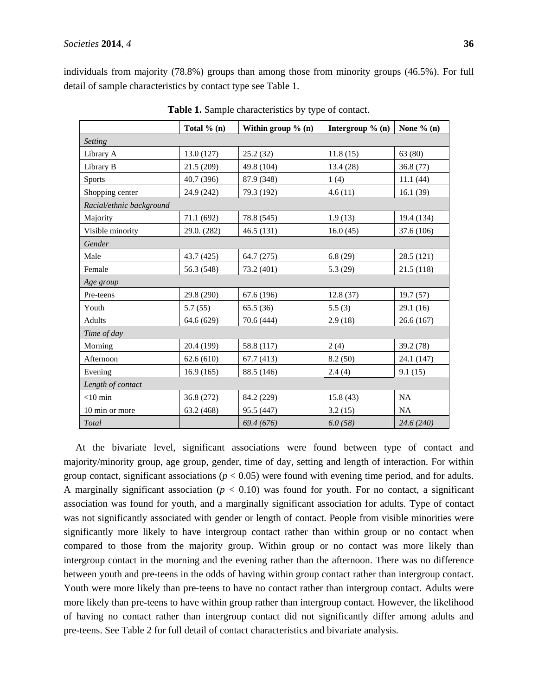individuals from majority (78.8%) groups than among those from minority groups (46.5%). For full detail of sample characteristics by contact type see Table 1.

|                          | Total $% (n)$ | Within group $\%$ (n) | Intergroup $\%$ (n) | None $% (n)$ |  |  |  |
|--------------------------|---------------|-----------------------|---------------------|--------------|--|--|--|
| <b>Setting</b>           |               |                       |                     |              |  |  |  |
| Library A                | 13.0(127)     | 25.2(32)              | 11.8(15)            | 63(80)       |  |  |  |
| Library B                | 21.5 (209)    | 49.8 (104)            | 13.4(28)            | 36.8 (77)    |  |  |  |
| <b>Sports</b>            | 40.7 (396)    | 87.9 (348)            | 1(4)                | 11.1(44)     |  |  |  |
| Shopping center          | 24.9 (242)    | 79.3 (192)            | 4.6(11)             | 16.1(39)     |  |  |  |
| Racial/ethnic background |               |                       |                     |              |  |  |  |
| Majority                 | 71.1 (692)    | 78.8 (545)            | 1.9(13)             | 19.4 (134)   |  |  |  |
| Visible minority         | 29.0. (282)   | 46.5(131)             | 16.0(45)            | 37.6 (106)   |  |  |  |
| Gender                   |               |                       |                     |              |  |  |  |
| Male                     | 43.7 (425)    | 64.7 (275)            | 6.8(29)             | 28.5 (121)   |  |  |  |
| Female                   | 56.3 (548)    | 73.2 (401)            | 5.3(29)             | 21.5(118)    |  |  |  |
| Age group                |               |                       |                     |              |  |  |  |
| Pre-teens                | 29.8 (290)    | 67.6 (196)            | 12.8(37)            | 19.7(57)     |  |  |  |
| Youth                    | 5.7(55)       | 65.5(36)              | 5.5(3)              | 29.1 (16)    |  |  |  |
| Adults                   | 64.6 (629)    | 70.6 (444)            | 2.9(18)             | 26.6(167)    |  |  |  |
| Time of day              |               |                       |                     |              |  |  |  |
| Morning                  | 20.4 (199)    | 58.8 (117)            | 2(4)                | 39.2 (78)    |  |  |  |
| Afternoon                | 62.6(610)     | 67.7(413)             | 8.2(50)             | 24.1 (147)   |  |  |  |
| Evening                  | 16.9(165)     | 88.5 (146)            | 2.4(4)              | 9.1(15)      |  |  |  |
| Length of contact        |               |                       |                     |              |  |  |  |
| $<$ 10 min               | 36.8 (272)    | 84.2 (229)            | 15.8(43)            | NA           |  |  |  |
| 10 min or more           | 63.2 (468)    | 95.5 (447)            | 3.2(15)             | NA           |  |  |  |
| Total                    |               | 69.4 (676)            | 6.0(58)             | 24.6 (240)   |  |  |  |

**Table 1.** Sample characteristics by type of contact.

At the bivariate level, significant associations were found between type of contact and majority/minority group, age group, gender, time of day, setting and length of interaction. For within group contact, significant associations ( $p < 0.05$ ) were found with evening time period, and for adults. A marginally significant association  $(p < 0.10)$  was found for youth. For no contact, a significant association was found for youth, and a marginally significant association for adults. Type of contact was not significantly associated with gender or length of contact. People from visible minorities were significantly more likely to have intergroup contact rather than within group or no contact when compared to those from the majority group. Within group or no contact was more likely than intergroup contact in the morning and the evening rather than the afternoon. There was no difference between youth and pre-teens in the odds of having within group contact rather than intergroup contact. Youth were more likely than pre-teens to have no contact rather than intergroup contact. Adults were more likely than pre-teens to have within group rather than intergroup contact. However, the likelihood of having no contact rather than intergroup contact did not significantly differ among adults and pre-teens. See Table 2 for full detail of contact characteristics and bivariate analysis.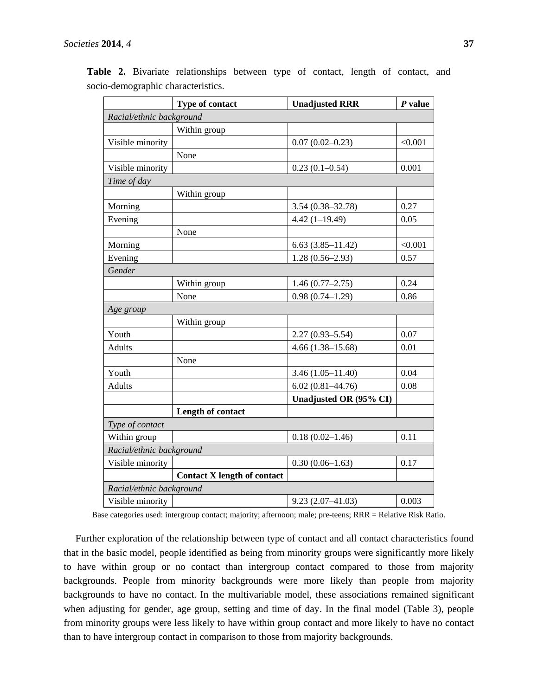|                          | Type of contact                    | <b>Unadjusted RRR</b>  | $P$ value |  |  |  |
|--------------------------|------------------------------------|------------------------|-----------|--|--|--|
| Racial/ethnic background |                                    |                        |           |  |  |  |
|                          | Within group                       |                        |           |  |  |  |
| Visible minority         |                                    | $0.07(0.02 - 0.23)$    | < 0.001   |  |  |  |
|                          | None                               |                        |           |  |  |  |
| Visible minority         |                                    | $0.23(0.1 - 0.54)$     | 0.001     |  |  |  |
| Time of day              |                                    |                        |           |  |  |  |
|                          | Within group                       |                        |           |  |  |  |
| Morning                  |                                    | $3.54(0.38 - 32.78)$   | 0.27      |  |  |  |
| Evening                  |                                    | $4.42(1-19.49)$        | 0.05      |  |  |  |
|                          | None                               |                        |           |  |  |  |
| Morning                  |                                    | $6.63(3.85 - 11.42)$   | < 0.001   |  |  |  |
| Evening                  |                                    | $1.28(0.56-2.93)$      | 0.57      |  |  |  |
| Gender                   |                                    |                        |           |  |  |  |
|                          | Within group                       | $1.46(0.77-2.75)$      | 0.24      |  |  |  |
|                          | None                               | $0.98(0.74 - 1.29)$    | 0.86      |  |  |  |
| Age group                |                                    |                        |           |  |  |  |
|                          | Within group                       |                        |           |  |  |  |
| Youth                    |                                    | $2.27(0.93 - 5.54)$    | 0.07      |  |  |  |
| <b>Adults</b>            |                                    | $4.66(1.38 - 15.68)$   | 0.01      |  |  |  |
|                          | None                               |                        |           |  |  |  |
| Youth                    |                                    | $3.46(1.05 - 11.40)$   | 0.04      |  |  |  |
| <b>Adults</b>            |                                    | $6.02(0.81 - 44.76)$   | 0.08      |  |  |  |
|                          |                                    | Unadjusted OR (95% CI) |           |  |  |  |
|                          | Length of contact                  |                        |           |  |  |  |
| Type of contact          |                                    |                        |           |  |  |  |
| Within group             |                                    | $0.18(0.02 - 1.46)$    | 0.11      |  |  |  |
| Racial/ethnic background |                                    |                        |           |  |  |  |
| Visible minority         |                                    | $0.30(0.06-1.63)$      | 0.17      |  |  |  |
|                          | <b>Contact X length of contact</b> |                        |           |  |  |  |
| Racial/ethnic background |                                    |                        |           |  |  |  |
| Visible minority         |                                    | $9.23(2.07 - 41.03)$   | 0.003     |  |  |  |

**Table 2.** Bivariate relationships between type of contact, length of contact, and socio-demographic characteristics.

Base categories used: intergroup contact; majority; afternoon; male; pre-teens; RRR = Relative Risk Ratio.

Further exploration of the relationship between type of contact and all contact characteristics found that in the basic model, people identified as being from minority groups were significantly more likely to have within group or no contact than intergroup contact compared to those from majority backgrounds. People from minority backgrounds were more likely than people from majority backgrounds to have no contact. In the multivariable model, these associations remained significant when adjusting for gender, age group, setting and time of day. In the final model (Table 3), people from minority groups were less likely to have within group contact and more likely to have no contact than to have intergroup contact in comparison to those from majority backgrounds.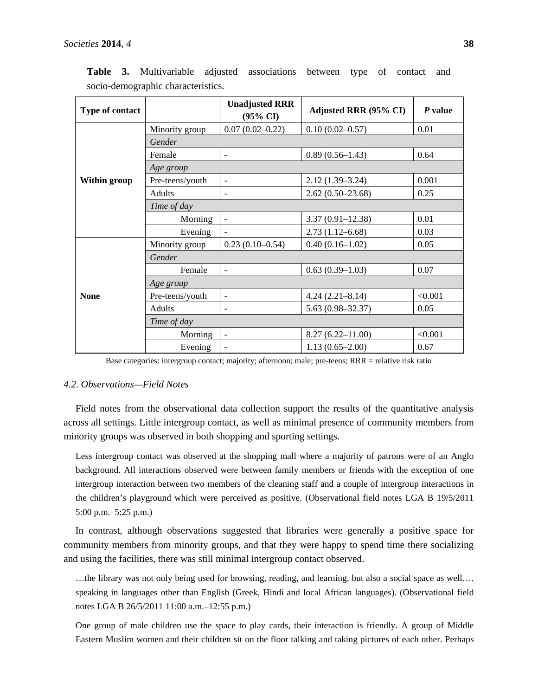| Type of contact |                 | <b>Unadjusted RRR</b><br>$(95\% \text{ CI})$ | <b>Adjusted RRR (95% CI)</b> | P value |  |  |
|-----------------|-----------------|----------------------------------------------|------------------------------|---------|--|--|
| Within group    | Minority group  | $0.07(0.02 - 0.22)$                          | $0.10(0.02 - 0.57)$          | 0.01    |  |  |
|                 | Gender          |                                              |                              |         |  |  |
|                 | Female          | $\overline{\phantom{a}}$                     | $0.89(0.56-1.43)$            | 0.64    |  |  |
|                 | Age group       |                                              |                              |         |  |  |
|                 | Pre-teens/youth | $\blacksquare$                               | $2.12(1.39 - 3.24)$          | 0.001   |  |  |
|                 | <b>Adults</b>   | $\overline{\phantom{a}}$                     | $2.62(0.50-23.68)$           | 0.25    |  |  |
|                 | Time of day     |                                              |                              |         |  |  |
|                 | Morning         | $\overline{\phantom{a}}$                     | $3.37(0.91 - 12.38)$         | 0.01    |  |  |
|                 | Evening         |                                              | $2.73(1.12 - 6.68)$          | 0.03    |  |  |
| <b>None</b>     | Minority group  | $0.23(0.10-0.54)$                            | $0.40(0.16-1.02)$            | 0.05    |  |  |
|                 | Gender          |                                              |                              |         |  |  |
|                 | Female          | $\overline{a}$                               | $0.63(0.39-1.03)$            | 0.07    |  |  |
|                 | Age group       |                                              |                              |         |  |  |
|                 | Pre-teens/youth | $\overline{\phantom{a}}$                     | $4.24(2.21 - 8.14)$          | < 0.001 |  |  |
|                 | Adults          |                                              | $5.63(0.98 - 32.37)$         | 0.05    |  |  |
|                 | Time of day     |                                              |                              |         |  |  |
|                 | Morning         | $\overline{\phantom{a}}$                     | $8.27(6.22 - 11.00)$         | < 0.001 |  |  |
|                 | Evening         |                                              | $1.13(0.65 - 2.00)$          | 0.67    |  |  |

**Table 3.** Multivariable adjusted associations between type of contact and socio-demographic characteristics.

Base categories: intergroup contact; majority; afternoon; male; pre-teens; RRR = relative risk ratio

## *4.2. Observations—Field Notes*

Field notes from the observational data collection support the results of the quantitative analysis across all settings. Little intergroup contact, as well as minimal presence of community members from minority groups was observed in both shopping and sporting settings.

Less intergroup contact was observed at the shopping mall where a majority of patrons were of an Anglo background. All interactions observed were between family members or friends with the exception of one intergroup interaction between two members of the cleaning staff and a couple of intergroup interactions in the children's playground which were perceived as positive. (Observational field notes LGA B 19/5/2011 5:00 p.m.–5:25 p.m.)

In contrast, although observations suggested that libraries were generally a positive space for community members from minority groups, and that they were happy to spend time there socializing and using the facilities, there was still minimal intergroup contact observed.

…the library was not only being used for browsing, reading, and learning, but also a social space as well…. speaking in languages other than English (Greek, Hindi and local African languages). (Observational field notes LGA B 26/5/2011 11:00 a.m.–12:55 p.m.)

One group of male children use the space to play cards, their interaction is friendly. A group of Middle Eastern Muslim women and their children sit on the floor talking and taking pictures of each other. Perhaps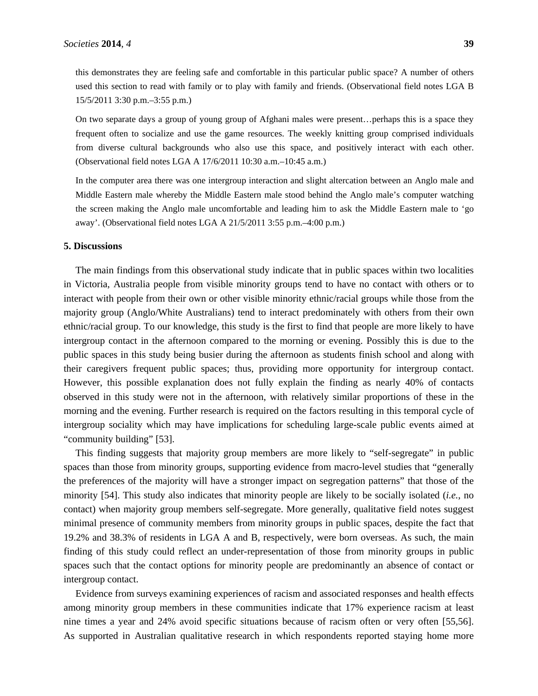this demonstrates they are feeling safe and comfortable in this particular public space? A number of others used this section to read with family or to play with family and friends. (Observational field notes LGA B 15/5/2011 3:30 p.m.–3:55 p.m.)

On two separate days a group of young group of Afghani males were present…perhaps this is a space they frequent often to socialize and use the game resources. The weekly knitting group comprised individuals from diverse cultural backgrounds who also use this space, and positively interact with each other. (Observational field notes LGA A 17/6/2011 10:30 a.m.–10:45 a.m.)

In the computer area there was one intergroup interaction and slight altercation between an Anglo male and Middle Eastern male whereby the Middle Eastern male stood behind the Anglo male's computer watching the screen making the Anglo male uncomfortable and leading him to ask the Middle Eastern male to 'go away'. (Observational field notes LGA A 21/5/2011 3:55 p.m.–4:00 p.m.)

## **5. Discussions**

The main findings from this observational study indicate that in public spaces within two localities in Victoria, Australia people from visible minority groups tend to have no contact with others or to interact with people from their own or other visible minority ethnic/racial groups while those from the majority group (Anglo/White Australians) tend to interact predominately with others from their own ethnic/racial group. To our knowledge, this study is the first to find that people are more likely to have intergroup contact in the afternoon compared to the morning or evening. Possibly this is due to the public spaces in this study being busier during the afternoon as students finish school and along with their caregivers frequent public spaces; thus, providing more opportunity for intergroup contact. However, this possible explanation does not fully explain the finding as nearly 40% of contacts observed in this study were not in the afternoon, with relatively similar proportions of these in the morning and the evening. Further research is required on the factors resulting in this temporal cycle of intergroup sociality which may have implications for scheduling large-scale public events aimed at "community building" [53].

This finding suggests that majority group members are more likely to "self-segregate" in public spaces than those from minority groups, supporting evidence from macro-level studies that "generally the preferences of the majority will have a stronger impact on segregation patterns" that those of the minority [54]. This study also indicates that minority people are likely to be socially isolated (*i.e.*, no contact) when majority group members self-segregate. More generally, qualitative field notes suggest minimal presence of community members from minority groups in public spaces, despite the fact that 19.2% and 38.3% of residents in LGA A and B, respectively, were born overseas. As such, the main finding of this study could reflect an under-representation of those from minority groups in public spaces such that the contact options for minority people are predominantly an absence of contact or intergroup contact.

Evidence from surveys examining experiences of racism and associated responses and health effects among minority group members in these communities indicate that 17% experience racism at least nine times a year and 24% avoid specific situations because of racism often or very often [55,56]. As supported in Australian qualitative research in which respondents reported staying home more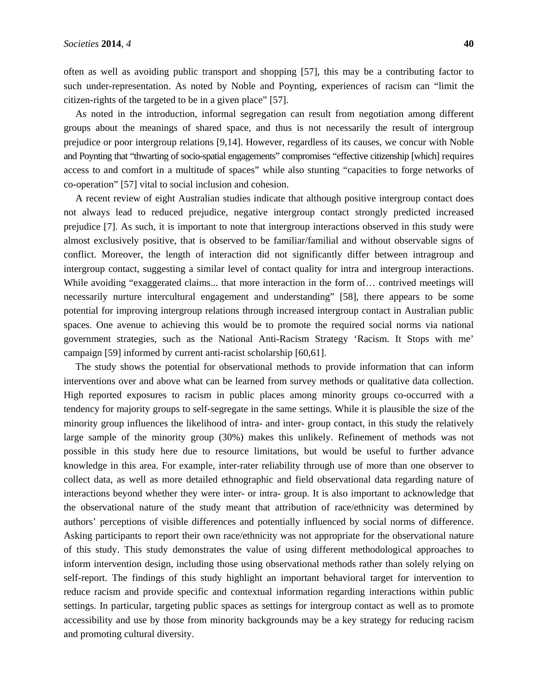often as well as avoiding public transport and shopping [57], this may be a contributing factor to such under-representation. As noted by Noble and Poynting, experiences of racism can "limit the citizen-rights of the targeted to be in a given place" [57].

As noted in the introduction, informal segregation can result from negotiation among different groups about the meanings of shared space, and thus is not necessarily the result of intergroup prejudice or poor intergroup relations [9,14]. However, regardless of its causes, we concur with Noble and Poynting that "thwarting of socio-spatial engagements" compromises "effective citizenship [which] requires access to and comfort in a multitude of spaces" while also stunting "capacities to forge networks of co-operation" [57] vital to social inclusion and cohesion.

A recent review of eight Australian studies indicate that although positive intergroup contact does not always lead to reduced prejudice, negative intergroup contact strongly predicted increased prejudice [7]. As such, it is important to note that intergroup interactions observed in this study were almost exclusively positive, that is observed to be familiar/familial and without observable signs of conflict. Moreover, the length of interaction did not significantly differ between intragroup and intergroup contact, suggesting a similar level of contact quality for intra and intergroup interactions. While avoiding "exaggerated claims... that more interaction in the form of... contrived meetings will necessarily nurture intercultural engagement and understanding" [58], there appears to be some potential for improving intergroup relations through increased intergroup contact in Australian public spaces. One avenue to achieving this would be to promote the required social norms via national government strategies, such as the National Anti-Racism Strategy 'Racism. It Stops with me' campaign [59] informed by current anti-racist scholarship [60,61].

The study shows the potential for observational methods to provide information that can inform interventions over and above what can be learned from survey methods or qualitative data collection. High reported exposures to racism in public places among minority groups co-occurred with a tendency for majority groups to self-segregate in the same settings. While it is plausible the size of the minority group influences the likelihood of intra- and inter- group contact, in this study the relatively large sample of the minority group (30%) makes this unlikely. Refinement of methods was not possible in this study here due to resource limitations, but would be useful to further advance knowledge in this area. For example, inter-rater reliability through use of more than one observer to collect data, as well as more detailed ethnographic and field observational data regarding nature of interactions beyond whether they were inter- or intra- group. It is also important to acknowledge that the observational nature of the study meant that attribution of race/ethnicity was determined by authors' perceptions of visible differences and potentially influenced by social norms of difference. Asking participants to report their own race/ethnicity was not appropriate for the observational nature of this study. This study demonstrates the value of using different methodological approaches to inform intervention design, including those using observational methods rather than solely relying on self-report. The findings of this study highlight an important behavioral target for intervention to reduce racism and provide specific and contextual information regarding interactions within public settings. In particular, targeting public spaces as settings for intergroup contact as well as to promote accessibility and use by those from minority backgrounds may be a key strategy for reducing racism and promoting cultural diversity.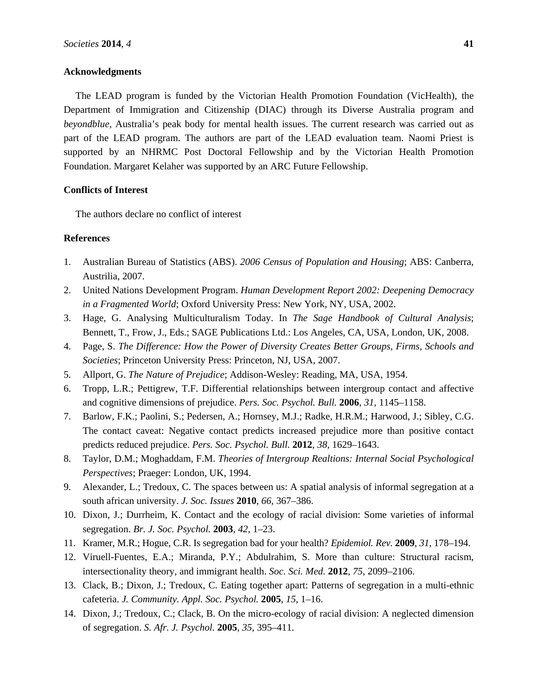# **Acknowledgments**

The LEAD program is funded by the Victorian Health Promotion Foundation (VicHealth), the Department of Immigration and Citizenship (DIAC) through its Diverse Australia program and *beyondblue*, Australia's peak body for mental health issues. The current research was carried out as part of the LEAD program. The authors are part of the LEAD evaluation team. Naomi Priest is supported by an NHRMC Post Doctoral Fellowship and by the Victorian Health Promotion Foundation. Margaret Kelaher was supported by an ARC Future Fellowship.

## **Conflicts of Interest**

The authors declare no conflict of interest

# **References**

- 1. Australian Bureau of Statistics (ABS). *2006 Census of Population and Housing*; ABS: Canberra, Austrilia, 2007.
- 2. United Nations Development Program. *Human Development Report 2002: Deepening Democracy in a Fragmented World*; Oxford University Press: New York, NY, USA, 2002.
- 3. Hage, G. Analysing Multiculturalism Today. In *The Sage Handbook of Cultural Analysis*; Bennett, T., Frow, J., Eds.; SAGE Publications Ltd.: Los Angeles, CA, USA, London, UK, 2008.
- 4. Page, S. *The Difference: How the Power of Diversity Creates Better Groups, Firms, Schools and Societies*; Princeton University Press: Princeton, NJ, USA, 2007.
- 5. Allport, G. *The Nature of Prejudice*; Addison-Wesley: Reading, MA, USA, 1954.
- 6. Tropp, L.R.; Pettigrew, T.F. Differential relationships between intergroup contact and affective and cognitive dimensions of prejudice. *Pers. Soc. Psychol. Bull.* **2006**, *31*, 1145–1158.
- 7. Barlow, F.K.; Paolini, S.; Pedersen, A.; Hornsey, M.J.; Radke, H.R.M.; Harwood, J.; Sibley, C.G. The contact caveat: Negative contact predicts increased prejudice more than positive contact predicts reduced prejudice. *Pers. Soc. Psychol. Bull.* **2012**, *38*, 1629–1643.
- 8. Taylor, D.M.; Moghaddam, F.M. *Theories of Intergroup Realtions: Internal Social Psychological Perspectives*; Praeger: London, UK, 1994.
- 9. Alexander, L.; Tredoux, C. The spaces between us: A spatial analysis of informal segregation at a south african university. *J. Soc. Issues* **2010**, *66*, 367–386.
- 10. Dixon, J.; Durrheim, K. Contact and the ecology of racial division: Some varieties of informal segregation. *Br. J. Soc. Psychol.* **2003**, *42*, 1–23.
- 11. Kramer, M.R.; Hogue, C.R. Is segregation bad for your health? *Epidemiol. Rev.* **2009**, *31*, 178–194.
- 12. Viruell-Fuentes, E.A.; Miranda, P.Y.; Abdulrahim, S. More than culture: Structural racism, intersectionality theory, and immigrant health. *Soc. Sci. Med.* **2012**, *75*, 2099–2106.
- 13. Clack, B.; Dixon, J.; Tredoux, C. Eating together apart: Patterns of segregation in a multi-ethnic cafeteria. *J. Community. Appl. Soc. Psychol.* **2005**, *15*, 1–16.
- 14. Dixon, J.; Tredoux, C.; Clack, B. On the micro-ecology of racial division: A neglected dimension of segregation. *S. Afr. J. Psychol.* **2005**, *35*, 395–411.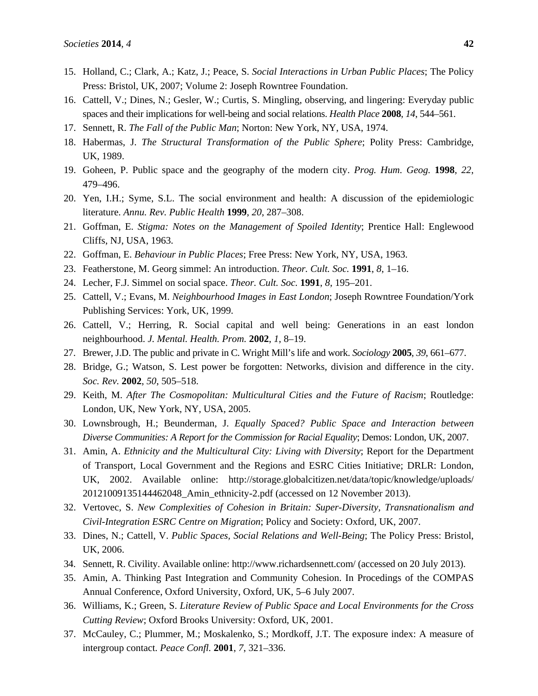- 15. Holland, C.; Clark, A.; Katz, J.; Peace, S. *Social Interactions in Urban Public Places*; The Policy Press: Bristol, UK, 2007; Volume 2: Joseph Rowntree Foundation.
- 16. Cattell, V.; Dines, N.; Gesler, W.; Curtis, S. Mingling, observing, and lingering: Everyday public spaces and their implications for well-being and social relations. *Health Place* **2008**, *14*, 544–561.
- 17. Sennett, R. *The Fall of the Public Man*; Norton: New York, NY, USA, 1974.
- 18. Habermas, J. *The Structural Transformation of the Public Sphere*; Polity Press: Cambridge, UK, 1989.
- 19. Goheen, P. Public space and the geography of the modern city. *Prog. Hum. Geog.* **1998**, *22*, 479–496.
- 20. Yen, I.H.; Syme, S.L. The social environment and health: A discussion of the epidemiologic literature. *Annu. Rev. Public Health* **1999**, *20*, 287–308.
- 21. Goffman, E. *Stigma: Notes on the Management of Spoiled Identity*; Prentice Hall: Englewood Cliffs, NJ, USA, 1963.
- 22. Goffman, E. *Behaviour in Public Places*; Free Press: New York, NY, USA, 1963.
- 23. Featherstone, M. Georg simmel: An introduction. *Theor. Cult. Soc.* **1991**, *8*, 1–16.
- 24. Lecher, F.J. Simmel on social space. *Theor. Cult. Soc.* **1991**, *8*, 195–201.
- 25. Cattell, V.; Evans, M. *Neighbourhood Images in East London*; Joseph Rowntree Foundation/York Publishing Services: York, UK, 1999.
- 26. Cattell, V.; Herring, R. Social capital and well being: Generations in an east london neighbourhood. *J. Mental. Health. Prom.* **2002**, *1*, 8–19.
- 27. Brewer, J.D. The public and private in C. Wright Mill's life and work. *Sociology* **2005**, *39*, 661–677.
- 28. Bridge, G.; Watson, S. Lest power be forgotten: Networks, division and difference in the city. *Soc. Rev.* **2002**, *50*, 505–518.
- 29. Keith, M. *After The Cosmopolitan: Multicultural Cities and the Future of Racism*; Routledge: London, UK, New York, NY, USA, 2005.
- 30. Lownsbrough, H.; Beunderman, J. *Equally Spaced? Public Space and Interaction between Diverse Communities: A Report for the Commission for Racial Equality*; Demos: London, UK, 2007.
- 31. Amin, A. *Ethnicity and the Multicultural City: Living with Diversity*; Report for the Department of Transport, Local Government and the Regions and ESRC Cities Initiative; DRLR: London, UK, 2002. Available online: http://storage.globalcitizen.net/data/topic/knowledge/uploads/ 20121009135144462048\_Amin\_ethnicity-2.pdf (accessed on 12 November 2013).
- 32. Vertovec, S. *New Complexities of Cohesion in Britain: Super-Diversity, Transnationalism and Civil-Integration ESRC Centre on Migration*; Policy and Society: Oxford, UK, 2007.
- 33. Dines, N.; Cattell, V. *Public Spaces, Social Relations and Well-Being*; The Policy Press: Bristol, UK, 2006.
- 34. Sennett, R. Civility. Available online: http://www.richardsennett.com/ (accessed on 20 July 2013).
- 35. Amin, A. Thinking Past Integration and Community Cohesion. In Procedings of the COMPAS Annual Conference, Oxford University, Oxford, UK, 5–6 July 2007.
- 36. Williams, K.; Green, S. *Literature Review of Public Space and Local Environments for the Cross Cutting Review*; Oxford Brooks University: Oxford, UK, 2001.
- 37. McCauley, C.; Plummer, M.; Moskalenko, S.; Mordkoff, J.T. The exposure index: A measure of intergroup contact. *Peace Confl.* **2001**, *7*, 321–336.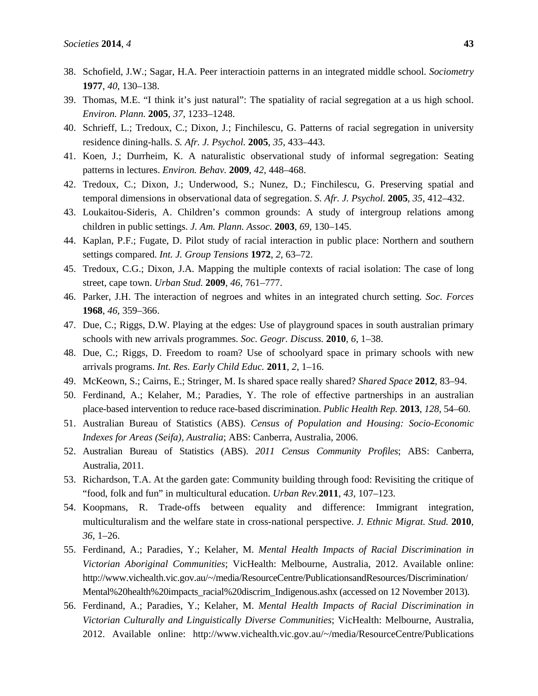- 38. Schofield, J.W.; Sagar, H.A. Peer interactioin patterns in an integrated middle school. *Sociometry*  **1977**, *40*, 130–138.
- 39. Thomas, M.E. "I think it's just natural": The spatiality of racial segregation at a us high school. *Environ. Plann.* **2005**, *37*, 1233–1248.
- 40. Schrieff, L.; Tredoux, C.; Dixon, J.; Finchilescu, G. Patterns of racial segregation in university residence dining-halls. *S. Afr. J. Psychol.* **2005**, *35*, 433–443.
- 41. Koen, J.; Durrheim, K. A naturalistic observational study of informal segregation: Seating patterns in lectures. *Environ. Behav.* **2009**, *42*, 448–468.
- 42. Tredoux, C.; Dixon, J.; Underwood, S.; Nunez, D.; Finchilescu, G. Preserving spatial and temporal dimensions in observational data of segregation. *S. Afr. J. Psychol.* **2005**, *35*, 412–432.
- 43. Loukaitou-Sideris, A. Children's common grounds: A study of intergroup relations among children in public settings. *J. Am. Plann. Assoc.* **2003**, *69*, 130–145.
- 44. Kaplan, P.F.; Fugate, D. Pilot study of racial interaction in public place: Northern and southern settings compared. *Int. J. Group Tensions* **1972**, *2*, 63–72.
- 45. Tredoux, C.G.; Dixon, J.A. Mapping the multiple contexts of racial isolation: The case of long street, cape town. *Urban Stud.* **2009**, *46*, 761–777.
- 46. Parker, J.H. The interaction of negroes and whites in an integrated church setting. *Soc. Forces*  **1968**, *46*, 359–366.
- 47. Due, C.; Riggs, D.W. Playing at the edges: Use of playground spaces in south australian primary schools with new arrivals programmes. *Soc. Geogr. Discuss.* **2010**, *6*, 1–38.
- 48. Due, C.; Riggs, D. Freedom to roam? Use of schoolyard space in primary schools with new arrivals programs. *Int. Res. Early Child Educ.* **2011**, *2*, 1–16.
- 49. McKeown, S.; Cairns, E.; Stringer, M. Is shared space really shared? *Shared Space* **2012**, 83–94.
- 50. Ferdinand, A.; Kelaher, M.; Paradies, Y. The role of effective partnerships in an australian place-based intervention to reduce race-based discrimination. *Public Health Rep.* **2013**, *128*, 54–60.
- 51. Australian Bureau of Statistics (ABS). *Census of Population and Housing: Socio-Economic Indexes for Areas (Seifa), Australia*; ABS: Canberra, Australia, 2006.
- 52. Australian Bureau of Statistics (ABS). *2011 Census Community Profiles*; ABS: Canberra, Australia, 2011.
- 53. Richardson, T.A. At the garden gate: Community building through food: Revisiting the critique of "food, folk and fun" in multicultural education. *Urban Rev.***2011**, *43*, 107–123.
- 54. Koopmans, R. Trade-offs between equality and difference: Immigrant integration, multiculturalism and the welfare state in cross-national perspective. *J. Ethnic Migrat. Stud.* **2010**, *36*, 1–26.
- 55. Ferdinand, A.; Paradies, Y.; Kelaher, M. *Mental Health Impacts of Racial Discrimination in Victorian Aboriginal Communities*; VicHealth: Melbourne, Australia, 2012. Available online: http://www.vichealth.vic.gov.au/~/media/ResourceCentre/PublicationsandResources/Discrimination/ Mental%20health%20impacts\_racial%20discrim\_Indigenous.ashx (accessed on 12 November 2013).
- 56. Ferdinand, A.; Paradies, Y.; Kelaher, M. *Mental Health Impacts of Racial Discrimination in Victorian Culturally and Linguistically Diverse Communities*; VicHealth: Melbourne, Australia, 2012. Available online: http://www.vichealth.vic.gov.au/~/media/ResourceCentre/Publications